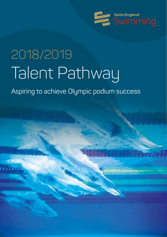

# 2018/2019 Talent Pathway

Aspiring to achieve Olympic podium success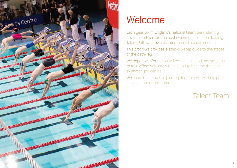

### Welcome

Each year Swim England's national talent team identify, develop and nurture the best swimmers along our leading Talent Pathway towards international podium success.

This brochure provides a step-by-step guide to the stages of the pathway.

We hope the information will both inspire and motivate you to train effectively and will help you to become the best swimmer you can be.

Welcome to a fantastic journey. Together we will help you achieve your full potential.

### Talent Team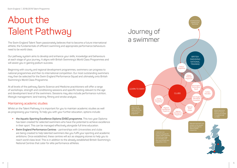## About the Talent Pathway

The Swim England Talent Team passionately believes that to become a future international athlete, the fundamentals of efficient swimming and appropriate performance behaviours need to be world class.

Our pathway system aims to develop and enhance your skills, knowledge and behaviours at each stage of your journey. It aligns with British Swimming's World Class Programmes and will assist you in gaining podium success.

Beginning with county and regional development programmes, swimmers can progress to national programmes and then to international competition. Our most outstanding swimmers may then be selected for the Swim England Performance Squad and ultimately onto British Swimming's World Class Programme.

At all levels of the pathway Sports Science and Medicine practitioners will offer a range of workshops, strength and conditioning sessions and specific testing relevant to the age and development level of the swimmers. Sessions may also include performance nutrition, lifestyle management, land training, filming and stroke analysis.

#### Maintaining academic studies

Whilst on the Talent Pathway it is important for you to maintain academic studies as well as progressing your training. To help you with your further education, options include:

- **the Aquatic Sporting Excellence Diploma (DiSE) programme.** This two year Diploma has been created for selected swimmers who have the potential to achieve excellence in their sport. This can be managed effectively alongside full time education.
- **Swim England Performance Centres** partnerships with Universities and clubs are being created to help talented swimmers like you fulfil your sporting and academic ambitions. Once established, these centres will act as stepping stones to help you to reach world class level. This is in addition to the already established British Swimming's National Centres that cater for elite performance athletes.

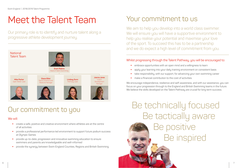### Meet the Talent Team

Our primary role is to identify and nurture talent along a progressive athlete development journey.



### Our commitment to you

#### We will:

- w create a safe, positive and creative environment where athletes are at the centre of all activities
- w provide a professional performance led environment to support future podium success at Olympic Games
- w provide up-to-date, progression and innovative swimming education to ensure swimmers and parents are knowledgeable and well-informed
- w provide the synergy between Swim England Counties, Regions and British Swimming.

### Your commitment to us

We aim to help you develop into a world class swimmer. We will ensure you will have a supportive environment to help you realise your potential and maximise your love of the sport. To succeed this has to be a partnership and we do expect a high level of commitment from you.

#### Whilst progressing through the Talent Pathway, you will be encouraged to:

- embrace opportunities with an open mind and a willingness to learn
- apply your learning into your daily training environment on consistent basis
- take responsibility, with our support, for advancing your own swimming career
- $\bullet$  make a financial contribution to the cost of activities.

We encourage independence, resilience and self-awareness, and with our assistance, you can focus on your progression through to the England and British Swimming teams in the future. We believe the skills developed on the Talent Pathway are crucial for long term success.

Be technically focused Be tactically aware Be positive Be inspired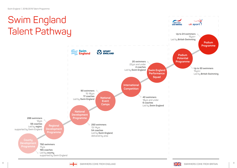#### Swim England BRITISH<br>SWIMMING uk sport Talent Pathway**Up to 24 swimmers** 15urs+ Led by **British Swimming Podium Programme** Swim<br>England **SPORT**<br>*ENGLAND* **Podium Potential 20 swimmers Programme** 22yrs and under **4 coaches** Led by Swim England **Swim England Swim England** 15yrs+ **Performance**  Led by **British Swimming Squad International Competition 90 swimmers** 15-16yrs **17 coaches 40 swimmers National**  Led by **Swim England** 18urs and under **Event 6 coaches Camps**  Led by **Swim England National Development Programme 288 swimmers** 12yrs **56 coaches 250 swimmers Regional**  Led by **region**, 13-14yrs **Development**  supported by Swim England **54 coaches Programme** Led by **Swim England**, delivered by area **County 792 swimmers** 11yrs **165 coaches** Led by **county**, supported by Swim England

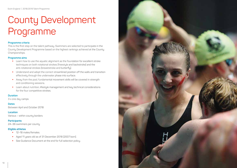# County Development Programme

#### **Programme criteria**

This is the first step on the talent pathway. Swimmers are selected to participate in the County Development Programme based on the highest rankings achieved at the County Championships.

#### **Programme aims**

- **•** Learn how to use the aquatic alignment as the foundation for excellent stroke techniques on both rotational strokes (freestyle and backstroke) and the anti-rotational strokes (breaststroke and butterfly).
- w Understand and adopt the correct streamlined position off the walls and transition effectively through the underwater phase into surface.
- Away from the pool, fundamental movement skills will be covered in strength and conditioning sessions.
- w Learn about nutrition, lifestyle management and key technical considerations for the four competitive strokes.

#### **Duration**

3 x one day camps

#### **Dates**

Between April and October 2018

**Location** Various – within county borders

**Participants** 24–36 swimmers per county

#### **Eligible athletes**

- $\cdot$  12–18 males/females.
- w Aged 11 years old as of 31 December 2018 (2007 born).
- See Guidance Document at the end for full selection policu.

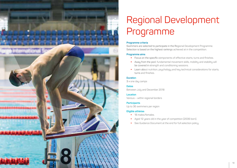

# Regional Development Programme

#### **Programme criteria**

Swimmers are selected to participate in the Regional Development Programme. Selection is based on the highest rankings achieved at in the competition.

#### **Programme aims**

- Focus on the specific components of effective starts, turns and finishes.
- w Away from the pool, fundamental movement skills, mobility and stability will be covered in strength and conditioning sessions.
- w Learn about nutrition, psychology and key technical considerations for starts, turns and finishes.

#### **Duration**

3 x one day camps

#### **Dates**

Between July and December 2018

#### **Location**

Various – within regional borders

#### **Participants**

Up to 36 swimmers per region

#### **Eligible athletes**

- $\cdot$  18 males/females.
- Aged 12 years old in the year of competition (2006 born).
- See Guidance Document at the end for full selection policy.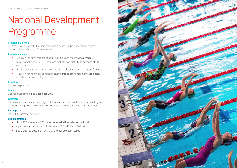# National Development Programme

#### **Programme criteria**

Swimmers will be selected for this programme based on the highest long course rankings achieved in each Olympic event.

#### **Programme aims**

- Focus on the development of all four strokes and the individual medley.
- Away from the pool you will progress mobility and stability to enhance starts and turns.
- Understand how to prevent injury, managing sleep and handling stressful times.
- w Focus on key technical considerations for stroke efficiency, individual medley, transition turns and relay takeovers.

#### **Duration**

3 x one day camps

#### **Dates**

Between September and December 2018

#### **Location**

Six areas across England (see page 31 for locations). Please note as part of the England Talent Pathway, not all swimmers will necessarily attend the camp nearest to them.

#### **Participants**

Up to 40 swimmers per area

#### **Eligible athletes**

- w Up to 250 swimmers (120 males/females) will be selected nationally.
- w Aged 13/14 years old as of 31 December 2018 (2004/2005 born).
- See Guidance Document at the end for full selection policu.

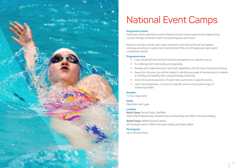

### National Event Camps

#### **Programme criteria**

Swimmers will be selected to attend National Event camps based on the highest long course rankings achieved in each individual Olympic pool event.

Selection will also include open water swimmers who have achieved the highest rankings according to national and international FINA and LEN approved open water competition results.

#### **Programme aims**

- w Learn advanced technical and tactical development for specific events.
- $\bullet$  To challenge both technically and physically.
- Develop and understand your technical capabilities with the help of extensive filming.
- w Away from the pool, you will be helped to identify any areas of improvement in relation to mobility and stability with a physiotherapy screening.
- Cover the tactical execution of world class swimmers in specific events.
- w Learn race preparation, nutrition for specific events and practical ways of monitoring health.

#### **Duration**

1 x four days camp

#### **Dates**

December each year

#### **Location**

**North Camp:** Ponds Forge, Sheffield 100m/200m Backstroke, Breaststroke and Butterfly and 200m Individual Medley

**South Camp:** Millfield School, Street All Freestyle events, 400m Individual medley and Open Water

#### **Participants**

Up to 90 swimmers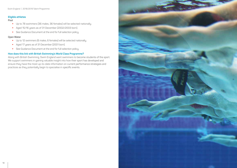Swim England | 2018/2019 Talent Programme

#### **Eligible athletes**

#### **Pool**

- w Up to 78 swimmers (36 males, 36 females) will be selected nationally.
- w Aged 15/16 years as of 31 December (2002/2003 born).
- See Guidance Document at the end for full selection policy.

#### **Open Water**

- Up to 12 swimmers (6 males, 6 females) will be selected nationally.
- w Aged 17 years as of 31 December (2001 born).
- See Guidance Document at the end for full selection policy.

#### **How does this link with British Swimming's World Class Programme?**

Along with British Swimming, Swim England want swimmers to become students of the sport. We support swimmers in gaining valuable insight into how their sport has developed and ensure they have the most up-to-date information on current performance strategies and practices as they potentially begin to specialise in specific events.

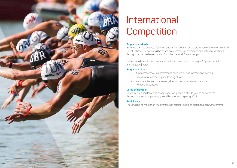

### International Competition

#### **Programme criteria**

Swimmers will be selected for International Competition at the discretion of the Swim England Talent Officers. Selection will be based on swimmers performance and potential identified through the national rankings and from the National Events camps.

Selection will include pool swimmers and open water swimmers aged 17 years (female) and 18 years (male).

#### **Programme aims**

- Show competency in performance skills while in an international setting.
- Perform while competing and training abroad.
- w Use strategies and processes gained on previous camps to ensure international success.

#### **Dates and location**

Dates, venues and locations change year-on-year but should you be selected for the International Competition, you will be informed by early 2019.

#### **Participants**

There will be no more than 40 swimmers in total for pool and distance/open water events.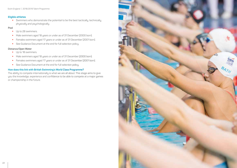#### **Eligible athletes**

w Swimmers who demonstrate the potential to be the best tactically, technically, physically and psychologically.

#### **Pool**

- $\bullet$  Up to 28 swimmers.
- Male swimmers aged 18 years or under as of 31 December (2000 born).
- w Females swimmers aged 17 years or under as of 31 December (2001 born).
- See Guidance Document at the end for full selection policy.

#### **Distance/Open Water**

- $\bullet$  Up to 18 swimmers.
- Male swimmers aged 18 years or under as of 31 December (2000 born).
- w Females swimmers aged 17 years or under as of 31 December (2001 born).
- See Guidance Document at the end for full selection policy.

#### **How does this link with British Swimming's World Class Programme?**

The ability to compete internationally is what we are all about. This stage aims to give you the knowledge, experience and confidence to be able to compete at a major games or championship in the future.

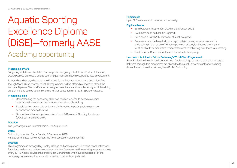### Aquatic Sporting Excellence Diploma (DiSE)—formerly AASE Academy opportunity

#### **Programme criteria**

For young athletes on the Talent Pathway, who are going onto full time Further Education, Dudley College provides a unique sporting qualification that will support athlete development.

Selected candidates, who are on the England Talent Pathway or who have been identified through World Class or other talent ID programmes, will be offered a chance to attend the two year Diploma. The qualification is designed to enhance and complement your club training programme and can be taken alongside further education i.e. BTEC in Sport or A Levels.

#### **Programme aims**

- w Understanding the necessary skills and abilities required to become a senior international athlete such as nutrition, mental and physiology.
- w Be able to take ownership and ensure information impacts positively on your performance moving forward.
- w Gain skills and knowledge to receive a Level 3 Diploma in Sporting Excellence (UCAS points are available).

#### **Duration**

Two year programme September 2018 to August 2020

#### **Dates**

Swimming Induction Day – Sunday 9 September 2018 Various other dates for workshops, mentors/assessor visit camps TBC

#### **Location**

This programme is managed by Dudley College and participation will involve travel nationwide for induction days and various workshops. Mentors/assessors will also visit you approximately every 10-12 weeks. Towards the end of year 2, swimmers who have completed all of the necessary courses requirements will be invited to attend camp abroad.

#### **Participants**

Up to 120 swimmers will be selected nationally

#### **Eligible athletes**

- Born between 1 September 2001 and 31 August 2002.
- Swimmers must be based in England.
- Have been a British/EU citizen for at least five years.
- w Swimmers must be based within an appropriate training environment and be undertaking in the region of 16 hours per week of pool/land based training and must be able to demonstrate their commitment to achieving excellence in swimming.
- See Guidance Document at the end for full selection policy.

#### **How does this link with British Swimming's World Class Programme?**

Swim England will work in collaboration with Dudley College to ensure that the messages delivered through this programme are aligned to the most up-to-date information being disseminated down the pathway from British Swimming.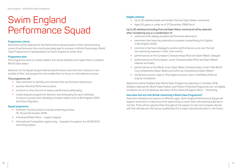### Swim England Performance Squad

#### **Programme criteria**

Swimmers will be selected for the Performance Squad based on their demonstrating a level of performance that could potentially lead to inclusion in British Swimming's World Class Programme or representation for Swim England at senior level.

#### **Programme aims**

This programme aims to create resilient and robust athletes and inspire them to achieve World Class status.

Selection to the Squad will give talented performance swimmers the chance to train outside of their club programme and enable them to focus on international success.

#### **This programme will:**

- help swimmers to identify and enhance their performance behaviours
- provide Individual Performance plans
- continue to drive the end of season performance philosophy
- create bespoke programme direction and philosophy for each individual to ensure success and ultimately increase medal count at Birmingham 2022 and future Olympics.

#### **Squad programme**

- **•** Domestic Training Camp to include screening process 18, 19 and 20 October 2018.
- w Individual Athlete Plans support aligned.
- International Competition opportunity bespoke throughout the 2018/2019 swimming season.

#### **Eligible athletes**

- Up to 20 athletes (male and female, Pool and Open Water swimmers).
- w Aged 22 years or under as of 31 December (1996 born).

#### **Up to 20 athletes (including Pool and Open Water swimmers) will be selected after considering any or a combination of:**

- $\bullet$  swimmers that display excellent performance behaviours
- swimmers that have the potential to compete competitively for England in Birmingham 2022
- $\bullet$  swimmers that have displayed a positive performance curve over the last two swimming seasons in their 'main events'
- performances at the European Championships (Pool and Open Water), Glasgow
- performances at the European Junior Championships (Pool and Open Water), Helsinki and Malta
- w performances at the World Junior Open Water Championships, Israel, FINA World Cup Competitions (Open Water) and LEN Cup Competitions (Open Water)
- the British summer meet or The English summer meet in Sheffield 2018 will only be considered.

Selections will be finalised after World Class Programme selections in October 2018. Athletes selected for World Class Podium and Podium Potential Programme are not eligible. Invitations are at the absolute discretion of the Head of England Talent – Swimming.

#### **How does this link with British Swimming's World Class Programme?**

Swimmers develop and improve at different ages. Swim England Performance Squad will support swimmers to help ensure the opportunity to reach their international potential is not lost. There will be opportunities throughout the season to train and compete abroad with the ultimate aim the secure qualification for a major international event in the future.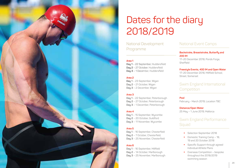

## Dates for the diary 2018/2019

National Development Programme

#### **Area 1**

**Day 1** – 22 September, Huddersfield **Day 2** – 27 October, Huddersfield **Day 3** – 1 December, Huddersfield

#### **Area 2**

**Day 1** – 23 September, Wigan **Day 2** – 21 October, Wigan **Day 3** – 2 December, Wigan

#### **Area 3**

**Day 1** – 22 September, Peterborough **Day 2** – 27 October, Peterborough **Day 3** – 1 December, Peterborough

#### **Area 4**

**Day 1** – 15 September, Wycombe **Day 2** – 20 October, Guildford **Day 3** – 11 November, Wycombe

#### **Area 5**

**Day 1** – 16 September, Chesterfield **Day 2** – 7 October, Chesterfield, **Day 3** – 25 November, Chesterfield

#### **Area 6**

**Day 1** – 16 September, Millfield **Day 2** – 14 October, Marlborough **Day 3** – 25 November, Marlborough

### National Event Camps

**Backstroke, Breaststroke, Butterfly and 200 IM**

17–20 December 2018, Ponds Forge, Sheffield

#### **Freestyle Events, 400 IM and Open Water**

17–20 December 2018, Millfield School, Street, Somerset

### Swim England International **Competition**

#### **Pool**

February - March 2019, Location TBC

#### **Distance/Open Water**

25 May – 1 June 2019, Mallorca

### Swim England Performance **Squad**

- Selection September 2018
- $\bullet$  Domestic Training Camp 18, 19 and 20 October 2018
- Specific Support through agreed Individual Athlete Plans
- Overseas Competition bespoke throughout the 2018/2019 swimming season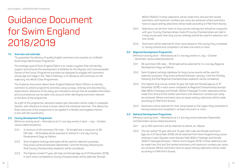### Guidance Document for Swim England 2018/2019

#### **1.0 Overview and rationale:**

"To guarantee the delivery of quality English swimmers and coaches on to British Swimming's World Class Programme."

The strategic goal of Swim England Talent is to create a system that will identify, support and enhance the development of athletes for the Olympic and Commonwealth Games of the future. Programme activities are designed to engage with swimmers whose age and stage in the 'Talent Pathway' is of relevance and continues on the trajectory into World Class Programmes.

The Guidance Document allows Swim England National Talent Officers to identify swimmers to attend programme activities using surveys, rankings and discretionary observations. Elements of the policy are intended to ensure that all available information and circumstances can be taken into account when identifying swimmers relevant to the aims of the programme.

As a gift of the programme, decisions based upon discretion will be made in a bespoke fashion, with reference to what is known about the individual swimmer. This allows the finite resources of the programme to be applied in a flexible and targeted manner in line with the overall aims.

#### **2.0 County Development Programme:**

 (Minimum activity level – Attendance at 3 x one day events in April – July – October various dates/locations).

- 2.0.1 A minimum of 24 swimmers (12 male 12 female) and a maximum of 36 (18 male – 18 females) will be selected to attend 3 x one day County Development Daus as follows:
- 2.0.2 Swim England rankings data base will be used for selection purposes. Only times achieved between September 1 and the Monday following the final County Championship weekend, will be considered.
- 2.0.3 The highest ranked 11 year old male and female (age as of 31 December 2018), in each event competed at County Championships will be selected. (Except

800m/1500m). Further selections will be made from 2nd and 3rd ranked swimmers until maximum numbers per camp are achieved, where swimmers have an equal ranking selections will be made according to FINA Point Scores.

- 2.0.4 Selections can be from short or long course rankings but should be congruent with your County Championships mode (if County Championships are held in a long course pool, then long course rankings should be used for selection and vice versa).
- 2.0.5 Swimmers will be selected for their camp based on the county they competed in, having entered and competed in at least one event or more.

#### **3.0 Regional Development Programme:**

 (Minimum activity level – Attendance at 3 x one day events in July – October – December various dates/locations).

- 3.0.1 36 swimmers (18 male 18 female) will be selected for 3 x one day Regional Development Days as follows:
- 3.0.2 Swim England rankings database for long course events will be used for selection purposes. Only times achieved between January 1 and the Monday following the final Regional Championships weekend, will be considered.
- 3.0.3 The highest long course ranked 12 year old male and female (age as of 31 December 2018), in each event competed at Regional Championships (except Male 800m Freestyle and Female 1500m Freestyle). Further selections will be made from 2nd and 3rd ranked swimmers until maximum numbers per camp are achieved. Where swimmers have an equal ranking, selections will be made according to FINA Point Scores.
- 3.0.4 Swimmers will be selected for their camp based on the region they competed in, having entered and competed in at least one event or more.

#### **4.0 National Development Programme:**

 (Minimum activity level – Attendance at 3 x one day events between September and December various dates/locations).

- 4.0.1 Up to 250 swimmers will be selected to attend, as follows:
- 4.0.2 The top ranked 13 year olds and 14 year olds male and female swimmers (age as of 31 December 2018), will be selected from Swim England long course rankings in each Olympic event (except Male 800m Freestyle and Female 1500m Freestyle) between 1 March and 5 August 2018. Further selections will be made from 2nd and 3rd ranked swimmers until maximum numbers per camp are achieved. Where swimmers have an equal ranking, selections will be made according to FINA Point Scores.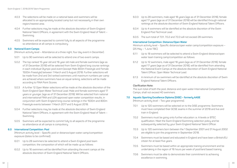- 4.0.3 The selections will be made on a national basis and swimmers will be allocated to an appropriately located camp but not necessarily in their own region/nearest area.
- 4.0.4 Further selections may be made at the absolute discretion of Swim England National Talent Officers, in agreement with the Swim England Head of Talent – Swimming.
- 4.0.5 Swimmers will be expected to commit fully to all aspects of the programme so attendance at all camps is compulsory.

#### **5.0 National Event Camps:**

(Minimum activity level – Attendance at a three night, four day event in December).

- 5.0.1 Up to 90 swimmers will be selected to attend one of two event camps.
- 5.0.2 The top ranked 15 year old and 16 year old male and female swimmers (age as of 31 December 2018) will be selected from Swim England long course rankings in each individual Olympic pool event (except Male 800m Freestyle and Female 1500m Freestyle) between 1 March and 5 August 2018. Further selections will be made from 2nd and 3rd ranked swimmers until maximum numbers per camp are achieved where swimmers have an equal ranking, selections will be made according to FINA Point Scores.
- 5.0.3 A further 12 Open Water selections will be made at the absolute discretion of the Swim England Open Water Technical Lead. Male and female swimmers aged 17 years or younger, (age as of 31 December 2018). Will be selected from national and international FINA and LEN approved open water competition results, in conjunction with Swim England long course rankings in the 1500m and 800m Freestyle events between 1 March 2017 and 5 August 2018.
- 5.0.4 Further selections may be made at the absolute discretion of Swim England National Talent Officers, in agreement with the Swim England Head of Talent – Swimming.
- 5.0.5 Swimmers will be expected to commit fully to all aspects of the programme so attendance at all camps is compulsory.

#### **6.0 International Competition: Pool**

 (Minimum activity level – Specific pool or distance/open water camp/competition exposure (dates to be confirmed).

- 6.0.1 Up to 28 swimmers be selected to attend a Swim England pool team competition, the composition of which will be made up as follows:
- 6.0.2 Up to 16 swimmers will be identified from attending the event camps at the absolute discretion of Swim England National Talent Officers.
- 6.0.3 Up to 28 swimmers, male aged 18 years (age as of 31 December 2018), female aged 17 years (age as of 31 December 2018) will be identified through national rankings at the absolute discretion of Swim England National Talent Officers.
- 6.0.4 Up to 4 swimmers will be identified at the absolute discretion of the Swim England Pool Technical Lead.
- 6.0.5 The sum total of 7.01, 7.0.2 and 7.0.3 will not exceed 28 swimmers.

#### **International Competition: Distance/Open Water**

Minimum activity level – Specific distance/open water camp/competition exposure – (25 May – 1 June TBC).

- 6.1.1 Up to 18 swimmers will be selected to attend a Swim England distance/open water team training camp/competition as follows:
- 6.1.2 Up to 12 swimmers, male aged 18 years (age as of 31 December 2018), female aged 17 years (age as of 31 December 2018), will be identified from attending the National Event Camps at the absolute discretion of Swim England National Talent Officer, Open Water Technical Lead.
- 6.1.3 A minimum of six swimmers will be identified at the absolute discretion of Swim England National Talent Officers.

#### **Clarification Note:**

 The sum total of both the pool, distance and open water International Competitions/ Camps, shall not exceed 40 swimmers.

#### **7.0 Aquatic Sporting Excellence Diploma (DiSE) – formerly AASE**

(Minimum activity level – Two year programme).

- 7.0.1 Up to 120 swimmers will be selected on to the DiSE programme. Swimmers must have completed their GCSE exams in the summer of 2018 and live and train in England.
- 7.0.2 Swimmers must be going onto further education i.e. A levels or BTEC qualification. Meet the Swim England Swimming selection policy and be subsequently selected by your Swim England National Talent Officer.
- 7.0.3 Up to 120 swimmers born between the 1 September 2001 and 31 August 2002 are eligible to join the programme in September 2018.
- 7.0.4 Swimmers must be based and educated in England and have been a British/EU citizen for at least five years.
- 7.0.5 Swimmers must be based within an appropriate training environment and be undertaking in the region of 16 hours per week of pool/land based training.
- 7.0.6 Swimmers must be able to demonstrate their commitment to achieving excellence in swimming.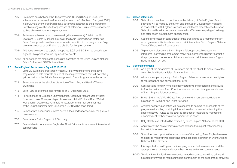- 7.0.7 Swimmers born between the 1 September 2001 and 31 August 2002 who achieve a top six ranked performance (between the 1 March and 5 August 2018) in an Olympic event (Pool) will receive automatic selection to the programme. British rankings will be used for purposes of selection. Only swimmers registered as English are eligible for the programme.
- 7.0.8 Swimmers achieving a top three overall (all home nations) finish in the 16 years and 17 years (5km) age groups at the Swim England Open Water Age Group Championships will receive automatic selection to the programme. Only swimmers registered as English are eligible for this programme.
- 7.0.9 Additional selections to supplement points 6.0.2 and 6.0.3 will be based upon highest FINA point scores in Olympic Pool events.
- 7.0.10 All selections are made at the absolute discretion of the Swim England National Talent Officer and DiSE Technical Lead.

#### **7.0 Swim England Performance Squad 2018/2019:**

- 7.1.1 Up to 20 swimmers (Pool/Open Water) will be invited to attend the above programme to help facilitate an end of season performance that will potentially gain inclusion in the British Swimming's World Class Programme in the future.
- 7.1.2 Selections are at the absolute discretion of Swim England Head of Talent Swimming.
- 7.1.3 Born 1996 or later male and female as of 31 December 2018.
- 7.1.4 Performances at European Championships, Glasgow (Pool and Open Water), European Junior Championships, Helsinki and Malta (Pool and Open Water), World Junior Open Water Championships, Israel, the British summer meet or the English summer meet in Sheffield 2018 will be considered.
- 7.1.5 Demonstrate a continued upward curve in their performances over the previous two seasons.
- 7.1.6 Completes a Swim England AIMS survey.
- 7.1.7 Be available to compete for England or Great Britain at future major international competitions.

#### **8.0 Coach selections:**

- 8.0.1 Selection of coaches to contribute to the delivery of Swim England Talent activities will be made bu the Swim England Coach Development Manager, in consultation with England National Talent Officers for each specific event. Selections will seek to achieve a balanced staff to ensure quality of delivery and offer coach development opportunities.
- 8.0.2 Coaches interested in contributing to the programme as a member of staff on programme activities should note their interest to a Swim England National Talent Officers in the first instance.
- 8.0.3 To promote inclusion and Swim England Talent philosophies coaches interested in attending programme activities on a voluntary basis to assist in the programme or observe activities should note their interest to an England National Talent Officer.

#### **9.0 General conditions:**

- 9.0.1 As a gift of the programme all invitations are at the absolute discretion of the Swim England National Talent Team for Swimming.
- 9.0.2 All swimmers participating in Swim England Talent activities must be eligible to represent England at international level.
- 9.0.3 Contributions from swimmers are reinvested into the programme to allow it to function in its best form. Contributions are not used in any other element of Swim England Talent Activities.
- 9.0.4 British Swimming's World Class Programme swimmers are not eligible for selection to Swim England Talent Activities.
- 9.0.5 Athletes accepting selection will be expected to commit to all aspects of the programme including providing information when requested, attending the specific activity invited to (as detailed in selection letters) and maintaining a commitment to their own development in the sport.
- 9.0.6 Only athletes selected will be notified by Swim England National Talent staff.
- 9.0.7 Any athlete who has withdrawn or been excluded from past activities may be ineligible for selection.
- 9.0.8 Should further opportunities arise outside of this policy, Swim England reserve the right to make further selections at the absolute discretion of Swim England National Talent Officers.
- 9.0.9 It is expected, as an England national programme, that swimmers attend the appropriate camps over and above their normal swimming commitments.
- 9.0.10 To allow Swim England to maximise its limited resources we will be asking all selected swimmers to make a financial contribution to the cost of their activities.